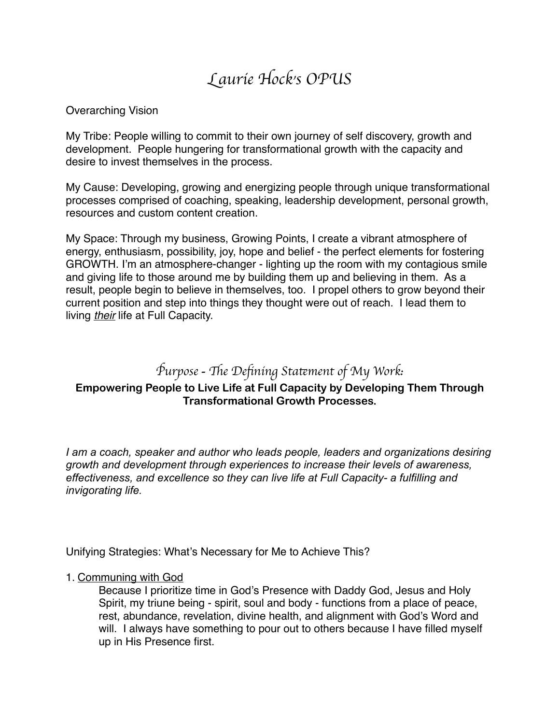# L*aurie Hock's OPUS*

#### Overarching Vision

My Tribe: People willing to commit to their own journey of self discovery, growth and development. People hungering for transformational growth with the capacity and desire to invest themselves in the process.

My Cause: Developing, growing and energizing people through unique transformational processes comprised of coaching, speaking, leadership development, personal growth, resources and custom content creation.

My Space: Through my business, Growing Points, I create a vibrant atmosphere of energy, enthusiasm, possibility, joy, hope and belief - the perfect elements for fostering GROWTH. I'm an atmosphere-changer - lighting up the room with my contagious smile and giving life to those around me by building them up and believing in them. As a result, people begin to believe in themselves, too. I propel others to grow beyond their current position and step into things they thought were out of reach. I lead them to living *their* life at Full Capacity.

# *Purpose* - *The Defining Statement of My Work:*

## **Empowering People to Live Life at Full Capacity by Developing Them Through Transformational Growth Processes.**

*I am a coach, speaker and author who leads people, leaders and organizations desiring growth and development through experiences to increase their levels of awareness, effectiveness, and excellence so they can live life at Full Capacity- a fulfilling and invigorating life.* 

Unifying Strategies: What's Necessary for Me to Achieve This?

#### 1. Communing with God

Because I prioritize time in God's Presence with Daddy God, Jesus and Holy Spirit, my triune being - spirit, soul and body - functions from a place of peace, rest, abundance, revelation, divine health, and alignment with God's Word and will. I always have something to pour out to others because I have filled myself up in His Presence first.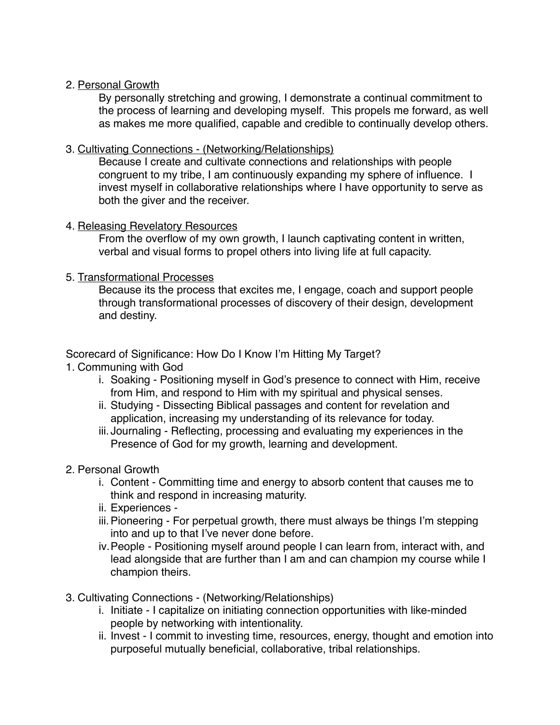#### 2. Personal Growth

By personally stretching and growing, I demonstrate a continual commitment to the process of learning and developing myself. This propels me forward, as well as makes me more qualified, capable and credible to continually develop others.

#### 3. Cultivating Connections - (Networking/Relationships)

Because I create and cultivate connections and relationships with people congruent to my tribe, I am continuously expanding my sphere of influence. I invest myself in collaborative relationships where I have opportunity to serve as both the giver and the receiver.

#### 4. Releasing Revelatory Resources

From the overflow of my own growth, I launch captivating content in written, verbal and visual forms to propel others into living life at full capacity.

#### 5. Transformational Processes

Because its the process that excites me, I engage, coach and support people through transformational processes of discovery of their design, development and destiny.

Scorecard of Significance: How Do I Know I'm Hitting My Target?

- 1. Communing with God
	- i. Soaking Positioning myself in God's presence to connect with Him, receive from Him, and respond to Him with my spiritual and physical senses.
	- ii. Studying Dissecting Biblical passages and content for revelation and application, increasing my understanding of its relevance for today.
	- iii. Journaling Reflecting, processing and evaluating my experiences in the Presence of God for my growth, learning and development.

## 2. Personal Growth

- i. Content Committing time and energy to absorb content that causes me to think and respond in increasing maturity.
- ii. Experiences -
- iii.Pioneering For perpetual growth, there must always be things I'm stepping into and up to that I've never done before.
- iv.People Positioning myself around people I can learn from, interact with, and lead alongside that are further than I am and can champion my course while I champion theirs.
- 3. Cultivating Connections (Networking/Relationships)
	- i. Initiate I capitalize on initiating connection opportunities with like-minded people by networking with intentionality.
	- ii. Invest I commit to investing time, resources, energy, thought and emotion into purposeful mutually beneficial, collaborative, tribal relationships.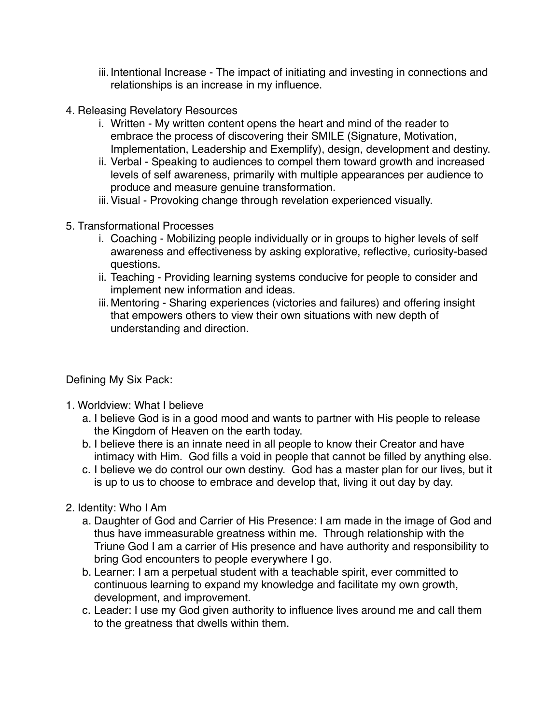- iii. Intentional Increase The impact of initiating and investing in connections and relationships is an increase in my influence.
- 4. Releasing Revelatory Resources
	- i. Written My written content opens the heart and mind of the reader to embrace the process of discovering their SMILE (Signature, Motivation, Implementation, Leadership and Exemplify), design, development and destiny.
	- ii. Verbal Speaking to audiences to compel them toward growth and increased levels of self awareness, primarily with multiple appearances per audience to produce and measure genuine transformation.
	- iii.Visual Provoking change through revelation experienced visually.
- 5. Transformational Processes
	- i. Coaching Mobilizing people individually or in groups to higher levels of self awareness and effectiveness by asking explorative, reflective, curiosity-based questions.
	- ii. Teaching Providing learning systems conducive for people to consider and implement new information and ideas.
	- iii.Mentoring Sharing experiences (victories and failures) and offering insight that empowers others to view their own situations with new depth of understanding and direction.

Defining My Six Pack:

- 1. Worldview: What I believe
	- a. I believe God is in a good mood and wants to partner with His people to release the Kingdom of Heaven on the earth today.
	- b. I believe there is an innate need in all people to know their Creator and have intimacy with Him. God fills a void in people that cannot be filled by anything else.
	- c. I believe we do control our own destiny. God has a master plan for our lives, but it is up to us to choose to embrace and develop that, living it out day by day.
- 2. Identity: Who I Am
	- a. Daughter of God and Carrier of His Presence: I am made in the image of God and thus have immeasurable greatness within me. Through relationship with the Triune God I am a carrier of His presence and have authority and responsibility to bring God encounters to people everywhere I go.
	- b. Learner: I am a perpetual student with a teachable spirit, ever committed to continuous learning to expand my knowledge and facilitate my own growth, development, and improvement.
	- c. Leader: I use my God given authority to influence lives around me and call them to the greatness that dwells within them.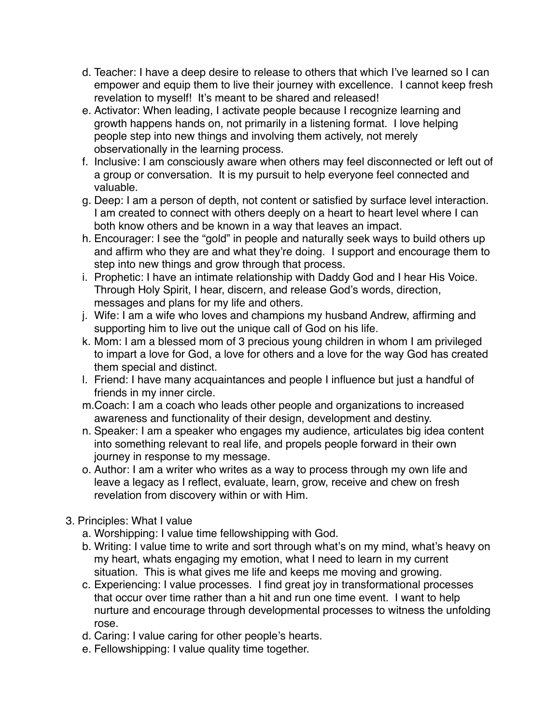- d. Teacher: I have a deep desire to release to others that which I've learned so I can empower and equip them to live their journey with excellence. I cannot keep fresh revelation to myself! It's meant to be shared and released!
- e. Activator: When leading, I activate people because I recognize learning and growth happens hands on, not primarily in a listening format. I love helping people step into new things and involving them actively, not merely observationally in the learning process.
- f. Inclusive: I am consciously aware when others may feel disconnected or left out of a group or conversation. It is my pursuit to help everyone feel connected and valuable.
- g. Deep: I am a person of depth, not content or satisfied by surface level interaction. I am created to connect with others deeply on a heart to heart level where I can both know others and be known in a way that leaves an impact.
- h. Encourager: I see the "gold" in people and naturally seek ways to build others up and affirm who they are and what they're doing. I support and encourage them to step into new things and grow through that process.
- i. Prophetic: I have an intimate relationship with Daddy God and I hear His Voice. Through Holy Spirit, I hear, discern, and release God's words, direction, messages and plans for my life and others.
- j. Wife: I am a wife who loves and champions my husband Andrew, affirming and supporting him to live out the unique call of God on his life.
- k. Mom: I am a blessed mom of 3 precious young children in whom I am privileged to impart a love for God, a love for others and a love for the way God has created them special and distinct.
- l. Friend: I have many acquaintances and people I influence but just a handful of friends in my inner circle.
- m.Coach: I am a coach who leads other people and organizations to increased awareness and functionality of their design, development and destiny.
- n. Speaker: I am a speaker who engages my audience, articulates big idea content into something relevant to real life, and propels people forward in their own journey in response to my message.
- o. Author: I am a writer who writes as a way to process through my own life and leave a legacy as I reflect, evaluate, learn, grow, receive and chew on fresh revelation from discovery within or with Him.
- 3. Principles: What I value
	- a. Worshipping: I value time fellowshipping with God.
	- b. Writing: I value time to write and sort through what's on my mind, what's heavy on my heart, whats engaging my emotion, what I need to learn in my current situation. This is what gives me life and keeps me moving and growing.
	- c. Experiencing: I value processes. I find great joy in transformational processes that occur over time rather than a hit and run one time event. I want to help nurture and encourage through developmental processes to witness the unfolding rose.
	- d. Caring: I value caring for other people's hearts.
	- e. Fellowshipping: I value quality time together.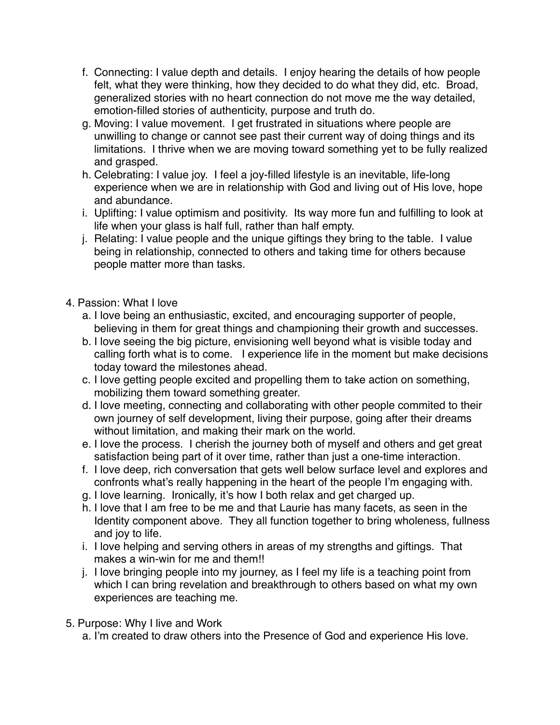- f. Connecting: I value depth and details. I enjoy hearing the details of how people felt, what they were thinking, how they decided to do what they did, etc. Broad, generalized stories with no heart connection do not move me the way detailed, emotion-filled stories of authenticity, purpose and truth do.
- g. Moving: I value movement. I get frustrated in situations where people are unwilling to change or cannot see past their current way of doing things and its limitations. I thrive when we are moving toward something yet to be fully realized and grasped.
- h. Celebrating: I value joy. I feel a joy-filled lifestyle is an inevitable, life-long experience when we are in relationship with God and living out of His love, hope and abundance.
- i. Uplifting: I value optimism and positivity. Its way more fun and fulfilling to look at life when your glass is half full, rather than half empty.
- j. Relating: I value people and the unique giftings they bring to the table. I value being in relationship, connected to others and taking time for others because people matter more than tasks.
- 4. Passion: What I love
	- a. I love being an enthusiastic, excited, and encouraging supporter of people, believing in them for great things and championing their growth and successes.
	- b. I love seeing the big picture, envisioning well beyond what is visible today and calling forth what is to come. I experience life in the moment but make decisions today toward the milestones ahead.
	- c. I love getting people excited and propelling them to take action on something, mobilizing them toward something greater.
	- d. I love meeting, connecting and collaborating with other people commited to their own journey of self development, living their purpose, going after their dreams without limitation, and making their mark on the world.
	- e. I love the process. I cherish the journey both of myself and others and get great satisfaction being part of it over time, rather than just a one-time interaction.
	- f. I love deep, rich conversation that gets well below surface level and explores and confronts what's really happening in the heart of the people I'm engaging with.
	- g. I love learning. Ironically, it's how I both relax and get charged up.
	- h. I love that I am free to be me and that Laurie has many facets, as seen in the Identity component above. They all function together to bring wholeness, fullness and joy to life.
	- i. I love helping and serving others in areas of my strengths and giftings. That makes a win-win for me and them!!
	- j. I love bringing people into my journey, as I feel my life is a teaching point from which I can bring revelation and breakthrough to others based on what my own experiences are teaching me.
- 5. Purpose: Why I live and Work
	- a. I'm created to draw others into the Presence of God and experience His love.